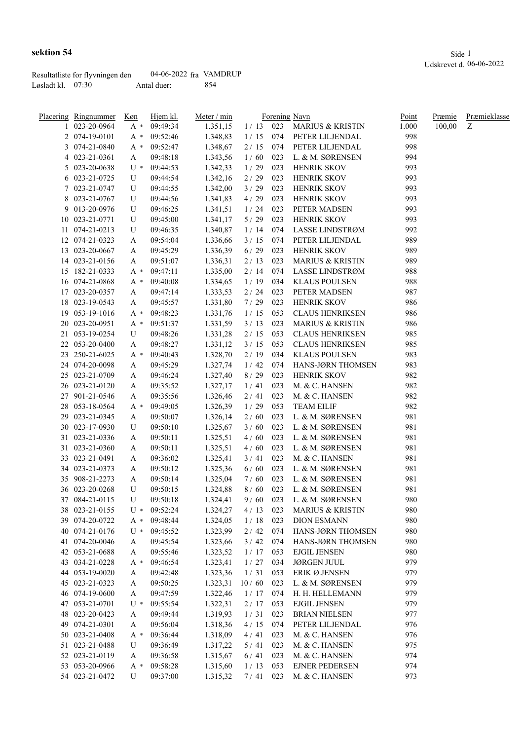|                     | Resultatliste for flyvningen den | 04-06-2022 fra VAMDRUP |      |
|---------------------|----------------------------------|------------------------|------|
| Løsladt kl. $07:30$ |                                  | Antal duer:            | -854 |

| Placering Ringnummer | Køn   | Hjem kl. | Meter / min |        |     | Forening Navn               | Point | Præmie | Præmieklasse |
|----------------------|-------|----------|-------------|--------|-----|-----------------------------|-------|--------|--------------|
| 1 023-20-0964        | $A^*$ | 09:49:34 | 1.351,15    |        |     | 1/13 023 MARIUS & KRISTIN   | 1.000 | 100,00 | Z            |
| 2 074-19-0101        | $A^*$ | 09:52:46 | 1.348,83    | 1/15   | 074 | PETER LILJENDAL             | 998   |        |              |
| 3 074-21-0840        | A *   | 09:52:47 | 1.348,67    | 2/15   | 074 | PETER LILJENDAL             | 998   |        |              |
| 4 023-21-0361        | A     | 09:48:18 | 1.343,56    | 1/60   | 023 | L. & M. SØRENSEN            | 994   |        |              |
| 5 023-20-0638        | $U^*$ | 09:44:53 | 1.342,33    | 1/29   | 023 | <b>HENRIK SKOV</b>          | 993   |        |              |
| 6 023-21-0725        | U     | 09:44:54 | 1.342,16    | 2/29   | 023 | HENRIK SKOV                 | 993   |        |              |
| 7 023-21-0747        | U     | 09:44:55 | 1.342,00    | 3/29   | 023 | HENRIK SKOV                 | 993   |        |              |
| 8 023-21-0767        | U     | 09:44:56 | 1.341,83    | 4/29   | 023 | HENRIK SKOV                 | 993   |        |              |
| 9 013-20-0976        | U     | 09:46:25 | 1.341,51    | 1/24   | 023 | PETER MADSEN                | 993   |        |              |
| 10 023-21-0771       | U     | 09:45:00 | 1.341,17    | $5/29$ | 023 | HENRIK SKOV                 | 993   |        |              |
| 11 074-21-0213       | U     | 09:46:35 | 1.340,87    | 1/14   | 074 | LASSE LINDSTRØM             | 992   |        |              |
| 12 074-21-0323       | A     | 09:54:04 | 1.336,66    | 3/15   | 074 | PETER LILJENDAL             | 989   |        |              |
| 13 023-20-0667       | A     | 09:45:29 | 1.336,39    | $6/29$ | 023 | HENRIK SKOV                 | 989   |        |              |
| 14 023-21-0156       | A     | 09:51:07 | 1.336,31    | 2/13   | 023 | <b>MARIUS &amp; KRISTIN</b> | 989   |        |              |
| 15 182-21-0333       | A *   | 09:47:11 | 1.335,00    | 2/14   | 074 | LASSE LINDSTRØM             | 988   |        |              |
| 16 074-21-0868       | A *   | 09:40:08 | 1.334,65    | 1/19   | 034 | <b>KLAUS POULSEN</b>        | 988   |        |              |
| 17 023-20-0357       | A     | 09:47:14 | 1.333,53    | 2/24   | 023 | PETER MADSEN                | 987   |        |              |
| 18 023-19-0543       | A     | 09:45:57 | 1.331,80    | 7/29   | 023 | HENRIK SKOV                 | 986   |        |              |
| 19 053-19-1016       | A *   | 09:48:23 | 1.331,76    | 1/15   | 053 | <b>CLAUS HENRIKSEN</b>      | 986   |        |              |
| 20 023-20-0951       | A *   | 09:51:37 | 1.331,59    | 3/13   | 023 | <b>MARIUS &amp; KRISTIN</b> | 986   |        |              |
| 21 053-19-0254       | U     | 09:48:26 | 1.331,28    | 2/15   | 053 | <b>CLAUS HENRIKSEN</b>      | 985   |        |              |
| 22 053-20-0400       | A     | 09:48:27 | 1.331,12    | 3/15   | 053 | <b>CLAUS HENRIKSEN</b>      | 985   |        |              |
| 23 250-21-6025       | A *   | 09:40:43 | 1.328,70    | 2/19   | 034 | <b>KLAUS POULSEN</b>        | 983   |        |              |
| 24 074-20-0098       |       | 09:45:29 | 1.327,74    | 1/42   | 074 | HANS-JØRN THOMSEN           | 983   |        |              |
| 25 023-21-0709       | A     | 09:46:24 | 1.327,40    | $8/29$ | 023 | <b>HENRIK SKOV</b>          | 982   |        |              |
| 26 023-21-0120       | A     | 09:35:52 |             | 1/41   | 023 | M. & C. HANSEN              | 982   |        |              |
|                      | A     |          | 1.327,17    |        |     |                             | 982   |        |              |
| 27 901-21-0546       | A     | 09:35:56 | 1.326,46    | 2/41   | 023 | M. & C. HANSEN              | 982   |        |              |
| 28 053-18-0564       | $A^*$ | 09:49:05 | 1.326,39    | 1/29   | 053 | <b>TEAM EILIF</b>           |       |        |              |
| 29 023-21-0345       | A     | 09:50:07 | 1.326,14    | $2/60$ | 023 | L. & M. SØRENSEN            | 981   |        |              |
| 30 023-17-0930       | U     | 09:50:10 | 1.325,67    | 3/60   | 023 | L. & M. SØRENSEN            | 981   |        |              |
| 31 023-21-0336       | A     | 09:50:11 | 1.325,51    | 4/60   | 023 | L. & M. SØRENSEN            | 981   |        |              |
| 31 023-21-0360       | A     | 09:50:11 | 1.325,51    | 4/60   | 023 | L. & M. SØRENSEN            | 981   |        |              |
| 33 023-21-0491       | A     | 09:36:02 | 1.325,41    | 3/41   | 023 | M. & C. HANSEN              | 981   |        |              |
| 34 023-21-0373       | A     | 09:50:12 | 1.325,36    | $6/60$ | 023 | L. & M. SØRENSEN            | 981   |        |              |
| 35 908-21-2273       | A     | 09:50:14 | 1.325,04    | $7/60$ | 023 | L. & M. SØRENSEN            | 981   |        |              |
| 36 023-20-0268       | U     | 09:50:15 | 1.324,88    | 8/60   | 023 | L. & M. SØRENSEN            | 981   |        |              |
| 37 084-21-0115       | U     | 09:50:18 | 1.324,41    | 9/60   | 023 | L. & M. SØRENSEN            | 980   |        |              |
| 38 023-21-0155       | U *   | 09:52:24 | 1.324,27    | 4/13   | 023 | <b>MARIUS &amp; KRISTIN</b> | 980   |        |              |
| 39 074-20-0722       | $A^*$ | 09:48:44 | 1.324,05    | 1/18   | 023 | <b>DION ESMANN</b>          | 980   |        |              |
| 40 074-21-0176       | $U^*$ | 09:45:52 | 1.323,99    | 2/42   | 074 | HANS-JØRN THOMSEN           | 980   |        |              |
| 41 074-20-0046       | A     | 09:45:54 | 1.323,66    | 3/42   | 074 | HANS-JØRN THOMSEN           | 980   |        |              |
| 42 053-21-0688       | A     | 09:55:46 | 1.323,52    | 1/17   | 053 | <b>EJGIL JENSEN</b>         | 980   |        |              |
| 43 034-21-0228       | A *   | 09:46:54 | 1.323,41    | 1/27   | 034 | <b>JØRGEN JUUL</b>          | 979   |        |              |
| 44 053-19-0020       | A     | 09:42:48 | 1.323,36    | 1/31   | 053 | ERIK Ø.JENSEN               | 979   |        |              |
| 45 023-21-0323       | A     | 09:50:25 | 1.323,31    | 10/60  | 023 | L. & M. SØRENSEN            | 979   |        |              |
| 46 074-19-0600       | A     | 09:47:59 | 1.322,46    | 1/17   | 074 | H. H. HELLEMANN             | 979   |        |              |
| 47 053-21-0701       | $U^*$ | 09:55:54 | 1.322,31    | 2/17   | 053 | <b>EJGIL JENSEN</b>         | 979   |        |              |
| 48 023-20-0423       | A     | 09:49:44 | 1.319,93    | 1/31   | 023 | <b>BRIAN NIELSEN</b>        | 977   |        |              |
| 49 074-21-0301       | A     | 09:56:04 | 1.318,36    | 4/15   | 074 | PETER LILJENDAL             | 976   |        |              |
| 50 023-21-0408       | A *   | 09:36:44 | 1.318,09    | 4/41   | 023 | M. & C. HANSEN              | 976   |        |              |
| 51 023-21-0488       | U     | 09:36:49 | 1.317,22    | 5/41   | 023 | M. & C. HANSEN              | 975   |        |              |
| 52 023-21-0119       | A     | 09:36:58 | 1.315,67    | 6/41   | 023 | M. & C. HANSEN              | 974   |        |              |
| 53 053-20-0966       | $A^*$ | 09:58:28 | 1.315,60    | 1/13   | 053 | <b>EJNER PEDERSEN</b>       | 974   |        |              |
| 54 023-21-0472       | U     | 09:37:00 | 1.315,32    | 7/41   | 023 | M. & C. HANSEN              | 973   |        |              |
|                      |       |          |             |        |     |                             |       |        |              |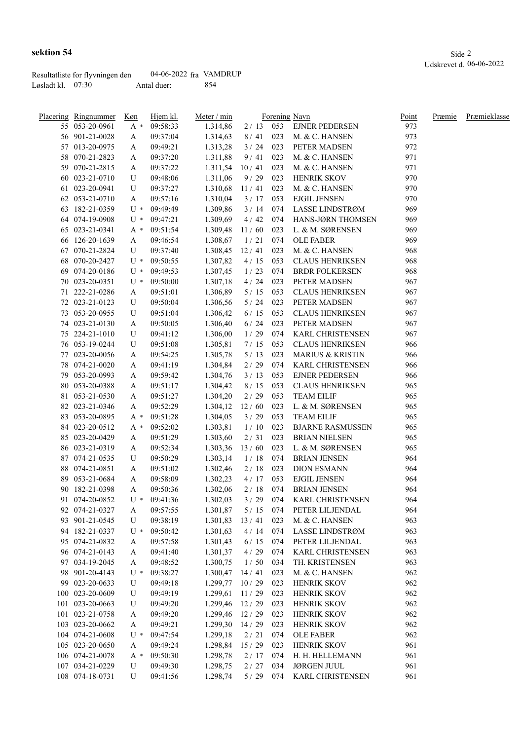|                     | Resultatliste for flyvningen den | 04-06-2022 fra VAMDRUP |      |
|---------------------|----------------------------------|------------------------|------|
| Løsladt kl. $07:30$ |                                  | Antal duer:            | -854 |

| Placering Ringnummer             | Køn    | Hjem kl.             | Meter / min        |              |            | Forening Navn                          | <u>Point</u> | Præmie | Præmieklasse |
|----------------------------------|--------|----------------------|--------------------|--------------|------------|----------------------------------------|--------------|--------|--------------|
| 55 053-20-0961                   | $A^*$  | 09:58:33             | 1.314,86           |              |            | 2 / 13 053 EJNER PEDERSEN              | 973          |        |              |
| 56 901-21-0028                   | A      | 09:37:04             | 1.314,63           | 8/41         | 023        | M. & C. HANSEN                         | 973          |        |              |
| 57 013-20-0975                   | A      | 09:49:21             | 1.313,28           | 3 / 24       | 023        | PETER MADSEN                           | 972          |        |              |
| 58 070-21-2823                   | A      | 09:37:20             | 1.311,88           | 9/41         | 023        | M. & C. HANSEN                         | 971          |        |              |
| 59 070-21-2815                   | A      | 09:37:22             | 1.311,54           | 10/41        | 023        | M. & C. HANSEN                         | 971          |        |              |
| 60 023-21-0710                   | U      | 09:48:06             | 1.311,06           | 9/29         | 023        | <b>HENRIK SKOV</b>                     | 970          |        |              |
| 61 023-20-0941                   | U      | 09:37:27             | 1.310,68           | 11/41        | 023        | M. & C. HANSEN                         | 970          |        |              |
| 62 053-21-0710                   | A      | 09:57:16             | 1.310,04           | 3/17         | 053        | <b>EJGIL JENSEN</b>                    | 970          |        |              |
| 63 182-21-0359                   | $U^*$  | 09:49:49             | 1.309,86           | 3/14         | 074        | LASSE LINDSTRØM                        | 969          |        |              |
| 64 074-19-0908                   | $U^*$  | 09:47:21             | 1.309,69           | 4/42         | 074        | HANS-JØRN THOMSEN                      | 969          |        |              |
| 65 023-21-0341                   | A *    | 09:51:54             | 1.309,48           | 11/60        | 023        | L. & M. SØRENSEN                       | 969          |        |              |
| 66 126-20-1639                   | A      | 09:46:54             | 1.308,67           | 1/21         | 074        | <b>OLE FABER</b>                       | 969          |        |              |
| 67 070-21-2824                   | U      | 09:37:40             | 1.308,45           | 12/41        | 023        | M. & C. HANSEN                         | 968          |        |              |
| 68 070-20-2427                   | U *    | 09:50:55             | 1.307,82           | 4/15         | 053        | <b>CLAUS HENRIKSEN</b>                 | 968          |        |              |
| 69 074-20-0186                   | U *    | 09:49:53             | 1.307,45           | 1/23         | 074        | <b>BRDR FOLKERSEN</b>                  | 968          |        |              |
| 70 023-20-0351                   | U *    | 09:50:00             | 1.307,18           | 4/24         | 023        | PETER MADSEN                           | 967          |        |              |
| 71 222-21-0286                   |        | 09:51:01             | 1.306,89           | 5/15         | 053        | <b>CLAUS HENRIKSEN</b>                 | 967          |        |              |
|                                  | A      |                      |                    |              |            |                                        |              |        |              |
| 72 023-21-0123<br>73 053-20-0955 | U<br>U | 09:50:04<br>09:51:04 | 1.306,56           | 5/24<br>6/15 | 023<br>053 | PETER MADSEN<br><b>CLAUS HENRIKSEN</b> | 967<br>967   |        |              |
|                                  |        |                      | 1.306,42           |              |            |                                        |              |        |              |
| 74 023-21-0130                   | A      | 09:50:05             | 1.306,40           | 6/24         | 023        | PETER MADSEN                           | 967          |        |              |
| 75 224-21-1010                   | U      | 09:41:12             | 1.306,00           | 1/29         | 074        | <b>KARL CHRISTENSEN</b>                | 967          |        |              |
| 76 053-19-0244                   | U      | 09:51:08             | 1.305,81           | 7/15         | 053        | <b>CLAUS HENRIKSEN</b>                 | 966          |        |              |
| 77 023-20-0056                   | A      | 09:54:25             | 1.305,78           | 5/13         | 023        | <b>MARIUS &amp; KRISTIN</b>            | 966          |        |              |
| 78 074-21-0020                   | A      | 09:41:19             | 1.304,84           | 2/29         | 074        | KARL CHRISTENSEN                       | 966          |        |              |
| 79 053-20-0993                   | A      | 09:59:42             | 1.304,76           | 3/13         | 053        | <b>EJNER PEDERSEN</b>                  | 966          |        |              |
| 80 053-20-0388                   | A      | 09:51:17             | 1.304,42           | 8/15         | 053        | <b>CLAUS HENRIKSEN</b>                 | 965          |        |              |
| 81 053-21-0530                   | A      | 09:51:27             | 1.304,20           | 2/29         | 053        | <b>TEAM EILIF</b>                      | 965          |        |              |
| 82 023-21-0346                   | A      | 09:52:29             | 1.304,12           | 12/60        | 023        | L. & M. SØRENSEN                       | 965          |        |              |
| 83 053-20-0895                   | A *    | 09:51:28             | 1.304,05           | 3/29         | 053        | <b>TEAM EILIF</b>                      | 965          |        |              |
| 84 023-20-0512                   | A *    | 09:52:02             | 1.303,81           | 1/10         | 023        | <b>BJARNE RASMUSSEN</b>                | 965          |        |              |
| 85 023-20-0429                   | A      | 09:51:29             | 1.303,60           | 2/31         | 023        | <b>BRIAN NIELSEN</b>                   | 965          |        |              |
| 86 023-21-0319                   | A      | 09:52:34             | 1.303,36           | 13/60        | 023        | L. & M. SØRENSEN                       | 965          |        |              |
| 87 074-21-0535                   | U      | 09:50:29             | 1.303,14           | 1/18         | 074        | <b>BRIAN JENSEN</b>                    | 964          |        |              |
| 88 074-21-0851                   | A      | 09:51:02             | 1.302,46           | 2/18         | 023        | <b>DION ESMANN</b>                     | 964          |        |              |
| 89 053-21-0684                   | A      | 09:58:09             | 1.302,23           | 4/17         | 053        | <b>EJGIL JENSEN</b>                    | 964          |        |              |
| 90 182-21-0398                   | A      | 09:50:36             | 1.302,06           | 2/18         | 074        | <b>BRIAN JENSEN</b>                    | 964          |        |              |
| 91 074-20-0852                   | $U^*$  | 09:41:36             | 1.302,03           | 3/29         | 074        | <b>KARL CHRISTENSEN</b>                | 964          |        |              |
| 92 074-21-0327                   | A      | 09:57:55             | 1.301,87           | 5/15         | 074        | PETER LILJENDAL                        | 964          |        |              |
| 93 901-21-0545                   | U      | 09:38:19             | 1.301,83           | 13/41        | 023        | M. & C. HANSEN                         | 963          |        |              |
| 94 182-21-0337                   | $U^*$  | 09:50:42             | 1.301,63           | 4/14         | 074        | LASSE LINDSTRØM                        | 963          |        |              |
| 95 074-21-0832                   | A      | 09:57:58             | 1.301,43           | 6/15         | 074        | PETER LILJENDAL                        | 963          |        |              |
| 96 074-21-0143                   | A      | 09:41:40             | 1.301,37           | 4/29         | 074        | KARL CHRISTENSEN                       | 963          |        |              |
| 97 034-19-2045                   | A      | 09:48:52             | 1.300,75           | 1/50         | 034        | TH. KRISTENSEN                         | 963          |        |              |
| 98 901-20-4143                   | $U^*$  | 09:38:27             | 1.300,47           | 14/41        | 023        | M. & C. HANSEN                         | 962          |        |              |
| 99 023-20-0633                   | U      | 09:49:18             | $1.299,77$ 10 / 29 |              | 023        | <b>HENRIK SKOV</b>                     | 962          |        |              |
| 100 023-20-0609                  | U      | 09:49:19             | 1.299,61           | 11/29        | 023        | <b>HENRIK SKOV</b>                     | 962          |        |              |
| 101 023-20-0663                  | U      | 09:49:20             | $1.299,46$ $12/29$ |              | 023        | <b>HENRIK SKOV</b>                     | 962          |        |              |
| 101 023-21-0758                  |        | 09:49:20             | 1.299,46           | 12/29        | 023        | <b>HENRIK SKOV</b>                     | 962          |        |              |
| 103 023-20-0662                  | A      | 09:49:21             | 1.299,30           | 14/29        | 023        | <b>HENRIK SKOV</b>                     | 962          |        |              |
|                                  | A      |                      |                    |              |            |                                        |              |        |              |
| 104 074-21-0608                  | U *    | 09:47:54             | 1.299,18           | 2/21         | 074        | <b>OLE FABER</b>                       | 962          |        |              |
| 105 023-20-0650                  | A      | 09:49:24             | 1.298,84           | 15/29        | 023        | <b>HENRIK SKOV</b>                     | 961          |        |              |
| 106 074-21-0078                  | A *    | 09:50:30             | 1.298,78           | 2/17         | 074        | H. H. HELLEMANN                        | 961          |        |              |
| 107 034-21-0229                  | U      | 09:49:30             | 1.298,75           | 2/27         | 034        | <b>JØRGEN JUUL</b>                     | 961          |        |              |
| 108 074-18-0731                  | U      | 09:41:56             | 1.298,74           | 5/29         | 074        | KARL CHRISTENSEN                       | 961          |        |              |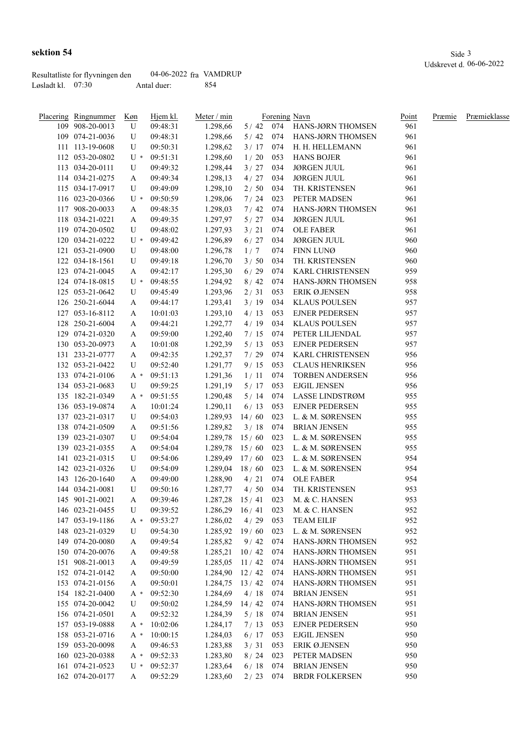|                     | Resultatliste for flyvningen den | 04-06-2022 fra VAMDRUP |      |
|---------------------|----------------------------------|------------------------|------|
| Løsladt kl. $07:30$ |                                  | Antal duer:            | -854 |

| Placering Ringnummer | Køn   | Hjem kl. | Meter / $min$      |       |     | Forening Navn                              | Point | Præmie | Præmieklasse |
|----------------------|-------|----------|--------------------|-------|-----|--------------------------------------------|-------|--------|--------------|
| 109 908-20-0013      | U     | 09:48:31 | 1.298,66           |       |     | 5 / 42 074 HANS-JØRN THOMSEN               | 961   |        |              |
| 109 074-21-0036      | U     | 09:48:31 | 1.298,66           | 5/42  |     | 074 HANS-JØRN THOMSEN                      | 961   |        |              |
| 111 113-19-0608      | U     | 09:50:31 | 1.298,62           | 3/17  |     | 074 H. H. HELLEMANN                        | 961   |        |              |
| 112 053-20-0802      | $U^*$ | 09:51:31 | 1.298,60           | 1/20  | 053 | <b>HANS BOJER</b>                          | 961   |        |              |
| 113 034-20-0111      | U     | 09:49:32 | 1.298,44           | 3/27  | 034 | <b>JØRGEN JUUL</b>                         | 961   |        |              |
| 114 034-21-0275      | A     | 09:49:34 | 1.298,13           | 4/27  | 034 | <b>JØRGEN JUUL</b>                         | 961   |        |              |
| 115 034-17-0917      | U     | 09:49:09 | 1.298,10           | 2/50  | 034 | TH. KRISTENSEN                             | 961   |        |              |
| 116 023-20-0366      | $U^*$ | 09:50:59 | 1.298,06           | 7/24  | 023 | PETER MADSEN                               | 961   |        |              |
| 117 908-20-0033      | A     | 09:48:35 | 1.298,03           | 7/42  | 074 | HANS-JØRN THOMSEN                          | 961   |        |              |
| 118 034-21-0221      | A     | 09:49:35 | 1.297,97           | 5/27  | 034 | <b>JØRGEN JUUL</b>                         | 961   |        |              |
| 119 074-20-0502      | U     | 09:48:02 | 1.297,93           | 3/21  | 074 | <b>OLE FABER</b>                           | 961   |        |              |
| 120 034-21-0222      | $U^*$ | 09:49:42 | 1.296,89           | 6/27  | 034 | <b>JØRGEN JUUL</b>                         | 960   |        |              |
| 121 053-21-0900      | U     | 09:48:00 | 1.296,78           | 1/7   | 074 | FINN LUNØ                                  | 960   |        |              |
| 122 034-18-1561      | U     | 09:49:18 | 1.296,70           | 3/50  | 034 | TH. KRISTENSEN                             | 960   |        |              |
| 123 074-21-0045      | A     | 09:42:17 | 1.295,30           | 6/29  | 074 | KARL CHRISTENSEN                           | 959   |        |              |
| 124 074-18-0815      | U *   | 09:48:55 | 1.294,92           | 8/42  | 074 | HANS-JØRN THOMSEN                          | 958   |        |              |
| 125 053-21-0642      | U     | 09:45:49 | 1.293,96           | 2/31  | 053 | ERIK Ø.JENSEN                              | 958   |        |              |
| 126 250-21-6044      | A     | 09:44:17 | 1.293,41           | 3/19  | 034 | <b>KLAUS POULSEN</b>                       | 957   |        |              |
| 127 053-16-8112      | A     | 10:01:03 | 1.293,10           | 4/13  | 053 | <b>EJNER PEDERSEN</b>                      | 957   |        |              |
| 128 250-21-6004      | A     | 09:44:21 | 1.292,77           | 4/19  | 034 | <b>KLAUS POULSEN</b>                       | 957   |        |              |
| 129 074-21-0320      |       | 09:59:00 | 1.292,40           | 7/15  | 074 | PETER LILJENDAL                            | 957   |        |              |
| 130 053-20-0973      | A     | 10:01:08 | 1.292,39           | 5/13  | 053 | <b>EJNER PEDERSEN</b>                      | 957   |        |              |
|                      | A     |          |                    |       |     |                                            |       |        |              |
| 131 233-21-0777      | A     | 09:42:35 | 1.292,37           | 7/29  | 074 | KARL CHRISTENSEN<br><b>CLAUS HENRIKSEN</b> | 956   |        |              |
| 132 053-21-0422      | U     | 09:52:40 | 1.291,77           | 9/15  | 053 |                                            | 956   |        |              |
| 133 074-21-0106      | $A^*$ | 09:51:13 | 1.291,36           | 1/11  | 074 | <b>TORBEN ANDERSEN</b>                     | 956   |        |              |
| 134 053-21-0683      | U     | 09:59:25 | 1.291,19           | 5/17  | 053 | <b>EJGIL JENSEN</b>                        | 956   |        |              |
| 135 182-21-0349      | A *   | 09:51:55 | 1.290,48           | 5/14  | 074 | LASSE LINDSTRØM                            | 955   |        |              |
| 136 053-19-0874      | A     | 10:01:24 | 1.290,11           | 6/13  | 053 | <b>EJNER PEDERSEN</b>                      | 955   |        |              |
| 137 023-21-0317      | U     | 09:54:03 | 1.289,93           | 14/60 | 023 | L. & M. SØRENSEN                           | 955   |        |              |
| 138 074-21-0509      | A     | 09:51:56 | 1.289,82           | 3/18  | 074 | <b>BRIAN JENSEN</b>                        | 955   |        |              |
| 139 023-21-0307      | U     | 09:54:04 | 1.289,78           | 15/60 | 023 | L. & M. SØRENSEN                           | 955   |        |              |
| 139 023-21-0355      | A     | 09:54:04 | 1.289,78           | 15/60 | 023 | L. & M. SØRENSEN                           | 955   |        |              |
| 141 023-21-0315      | U     | 09:54:06 | 1.289,49           | 17/60 | 023 | L. & M. SØRENSEN                           | 954   |        |              |
| 142 023-21-0326      | U     | 09:54:09 | 1.289,04           | 18/60 | 023 | L. & M. SØRENSEN                           | 954   |        |              |
| 143 126-20-1640      | A     | 09:49:00 | 1.288,90           | 4/21  | 074 | <b>OLE FABER</b>                           | 954   |        |              |
| 144 034-21-0081      | U     | 09:50:16 | 1.287,77           | 4/50  | 034 | TH. KRISTENSEN                             | 953   |        |              |
| 145 901-21-0021      | A     | 09:39:46 | $1.287,28$ 15/41   |       | 023 | M. & C. HANSEN                             | 953   |        |              |
| 146 023-21-0455      | U     | 09:39:52 | $1.286,29$ 16 / 41 |       | 023 | M. & C. HANSEN                             | 952   |        |              |
| 147 053-19-1186      | A *   | 09:53:27 | 1.286,02           | 4/29  | 053 | <b>TEAM EILIF</b>                          | 952   |        |              |
| 148 023-21-0329      | U     | 09:54:30 | $1.285,92$ 19/60   |       | 023 | L. & M. SØRENSEN                           | 952   |        |              |
| 149 074-20-0080      | A     | 09:49:54 | 1.285,82           | 9/42  | 074 | HANS-JØRN THOMSEN                          | 952   |        |              |
| 150 074-20-0076      | A     | 09:49:58 | $1.285,21$ 10/42   |       | 074 | HANS-JØRN THOMSEN                          | 951   |        |              |
| 151 908-21-0013      | A     | 09:49:59 | $1.285,05$ 11 / 42 |       | 074 | HANS-JØRN THOMSEN                          | 951   |        |              |
| 152 074-21-0142      | A     | 09:50:00 | $1.284,90$ 12/42   |       | 074 | HANS-JØRN THOMSEN                          | 951   |        |              |
| 153 074-21-0156      | A     | 09:50:01 | 1.284,75           | 13/42 | 074 | HANS-JØRN THOMSEN                          | 951   |        |              |
| 154 182-21-0400      | A *   | 09:52:30 | 1.284,69           | 4/18  | 074 | <b>BRIAN JENSEN</b>                        | 951   |        |              |
| 155 074-20-0042      | U     | 09:50:02 | 1.284,59           | 14/42 | 074 | HANS-JØRN THOMSEN                          | 951   |        |              |
| 156 074-21-0501      | A     | 09:52:32 | 1.284,39           | 5/18  | 074 | <b>BRIAN JENSEN</b>                        | 951   |        |              |
| 157 053-19-0888      | A *   | 10:02:06 | 1.284,17           | 7/13  | 053 | <b>EJNER PEDERSEN</b>                      | 950   |        |              |
| 158 053-21-0716      | A *   | 10:00:15 | 1.284,03           | 6/17  | 053 | <b>EJGIL JENSEN</b>                        | 950   |        |              |
| 159 053-20-0098      | A     | 09:46:53 | 1.283,88           | 3/31  | 053 | ERIK Ø.JENSEN                              | 950   |        |              |
| 160 023-20-0388      | A *   | 09:52:33 | 1.283,80           | 8/24  | 023 | PETER MADSEN                               | 950   |        |              |
| 161 074-21-0523      | $U^*$ | 09:52:37 | 1.283,64           | 6/18  | 074 | <b>BRIAN JENSEN</b>                        | 950   |        |              |
|                      |       |          |                    |       |     |                                            |       |        |              |
| 162 074-20-0177      | A     | 09:52:29 | 1.283,60           | 2/23  | 074 | <b>BRDR FOLKERSEN</b>                      | 950   |        |              |